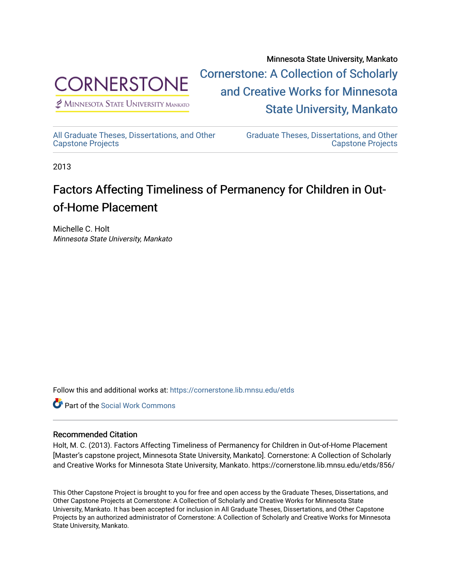

 $<sup>2</sup>$  Minnesota State University Mankato</sup>

Minnesota State University, Mankato [Cornerstone: A Collection of Scholarly](https://cornerstone.lib.mnsu.edu/)  [and Creative Works for Minnesota](https://cornerstone.lib.mnsu.edu/)  [State University, Mankato](https://cornerstone.lib.mnsu.edu/) 

[All Graduate Theses, Dissertations, and Other](https://cornerstone.lib.mnsu.edu/etds)  [Capstone Projects](https://cornerstone.lib.mnsu.edu/etds) 

[Graduate Theses, Dissertations, and Other](https://cornerstone.lib.mnsu.edu/theses_dissertations-capstone)  [Capstone Projects](https://cornerstone.lib.mnsu.edu/theses_dissertations-capstone) 

2013

### Factors Affecting Timeliness of Permanency for Children in Outof-Home Placement

Michelle C. Holt Minnesota State University, Mankato

Follow this and additional works at: [https://cornerstone.lib.mnsu.edu/etds](https://cornerstone.lib.mnsu.edu/etds?utm_source=cornerstone.lib.mnsu.edu%2Fetds%2F856&utm_medium=PDF&utm_campaign=PDFCoverPages) 



### Recommended Citation

Holt, M. C. (2013). Factors Affecting Timeliness of Permanency for Children in Out-of-Home Placement [Master's capstone project, Minnesota State University, Mankato]. Cornerstone: A Collection of Scholarly and Creative Works for Minnesota State University, Mankato. https://cornerstone.lib.mnsu.edu/etds/856/

This Other Capstone Project is brought to you for free and open access by the Graduate Theses, Dissertations, and Other Capstone Projects at Cornerstone: A Collection of Scholarly and Creative Works for Minnesota State University, Mankato. It has been accepted for inclusion in All Graduate Theses, Dissertations, and Other Capstone Projects by an authorized administrator of Cornerstone: A Collection of Scholarly and Creative Works for Minnesota State University, Mankato.